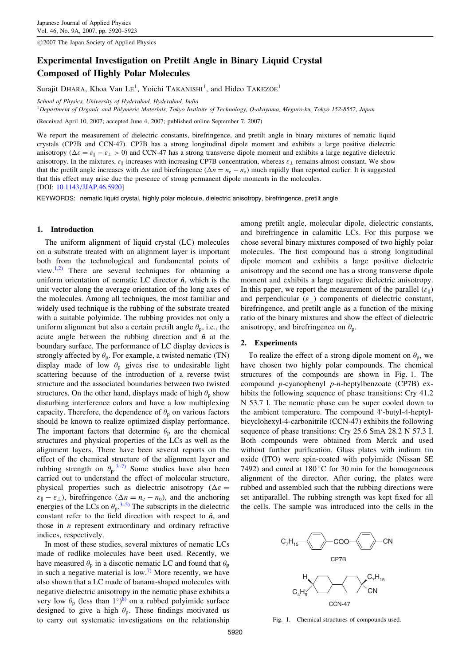$@2007$  The Japan Society of Applied Physics

# Experimental Investigation on Pretilt Angle in Binary Liquid Crystal Composed of Highly Polar Molecules

Surajit DHARA, Khoa Van L $E^1$ , Yoichi TAKANISHI<sup>1</sup>, and Hideo TAKEZOE<sup>1</sup>

School of Physics, University of Hyderabad, Hyderabad, India

 $1$ Department of Organic and Polymeric Materials, Tokyo Institute of Technology, O-okayama, Meguro-ku, Tokyo 152-8552, Japan

(Received April 10, 2007; accepted June 4, 2007; published online September 7, 2007)

We report the measurement of dielectric constants, birefringence, and pretilt angle in binary mixtures of nematic liquid crystals (CP7B and CCN-47). CP7B has a strong longitudinal dipole moment and exhibits a large positive dielectric anisotropy ( $\Delta \varepsilon = \varepsilon_{\parallel} - \varepsilon_{\perp} > 0$ ) and CCN-47 has a strong transverse dipole moment and exhibits a large negative dielectric anisotropy. In the mixtures,  $\varepsilon_{\parallel}$  increases with increasing CP7B concentration, whereas  $\varepsilon_{\perp}$  remains almost constant. We show that the pretilt angle increases with  $\Delta \varepsilon$  and birefringence  $(\Delta n = n_e - n_o)$  much rapidly than reported earlier. It is suggested that this effect may arise due the presence of strong permanent dipole moments in the molecules. [DOI: [10.1143/JJAP.46.5920\]](http://dx.doi.org/10.1143/JJAP.46.5920)

KEYWORDS: nematic liquid crystal, highly polar molecule, dielectric anisotropy, birefringence, pretilt angle

#### 1. Introduction

The uniform alignment of liquid crystal (LC) molecules on a substrate treated with an alignment layer is important both from the technological and fundamental points of view.<sup>[1,2\)](#page-3-0)</sup> There are several techniques for obtaining a uniform orientation of nematic LC director  $\hat{n}$ , which is the unit vector along the average orientation of the long axes of the molecules. Among all techniques, the most familiar and widely used technique is the rubbing of the substrate treated with a suitable polyimide. The rubbing provides not only a uniform alignment but also a certain pretilt angle  $\theta_p$ , i.e., the acute angle between the rubbing direction and  $\hat{n}$  at the boundary surface. The performance of LC display devices is strongly affected by  $\theta_p$ . For example, a twisted nematic (TN) display made of low  $\theta_p$  gives rise to undesirable light scattering because of the introduction of a reverse twist structure and the associated boundaries between two twisted structures. On the other hand, displays made of high  $\theta_p$  show disturbing interference colors and have a low multiplexing capacity. Therefore, the dependence of  $\theta_p$  on various factors should be known to realize optimized display performance. The important factors that determine  $\theta_p$  are the chemical structures and physical properties of the LCs as well as the alignment layers. There have been several reports on the effect of the chemical structure of the alignment layer and rubbing strength on  $\theta_p$ .<sup>[3–7\)](#page-3-0)</sup> Some studies have also been carried out to understand the effect of molecular structure, physical properties such as dielectric anisotropy ( $\Delta \varepsilon$  =  $\varepsilon_{\parallel} - \varepsilon_{\perp}$ ), birefringence ( $\Delta n = n_{\rm e} - n_{\rm o}$ ), and the anchoring energies of the LCs on  $\theta_p$ .<sup>[3–5\)](#page-3-0)</sup> The subscripts in the dielectric constant refer to the field direction with respect to  $\hat{n}$ , and those in  $n$  represent extraordinary and ordinary refractive indices, respectively.

In most of these studies, several mixtures of nematic LCs made of rodlike molecules have been used. Recently, we have measured  $\theta_p$  in a discotic nematic LC and found that  $\theta_p$ in such a negative material is low.<sup>[7\)](#page-3-0)</sup> More recently, we have also shown that a LC made of banana-shaped molecules with negative dielectric anisotropy in the nematic phase exhibits a very low  $\theta_p$  (less than 1<sup>o</sup>)<sup>[8\)](#page-3-0)</sup> on a rubbed polyimide surface designed to give a high  $\theta_p$ . These findings motivated us to carry out systematic investigations on the relationship

among pretilt angle, molecular dipole, dielectric constants, and birefringence in calamitic LCs. For this purpose we chose several binary mixtures composed of two highly polar molecules. The first compound has a strong longitudinal dipole moment and exhibits a large positive dielectric anisotropy and the second one has a strong transverse dipole moment and exhibits a large negative dielectric anisotropy. In this paper, we report the measurement of the parallel  $(\varepsilon_{\parallel})$ and perpendicular  $(\varepsilon)$  components of dielectric constant, birefringence, and pretilt angle as a function of the mixing ratio of the binary mixtures and show the effect of dielectric anisotropy, and birefringence on  $\theta_p$ .

## 2. Experiments

To realize the effect of a strong dipole moment on  $\theta_p$ , we have chosen two highly polar compounds. The chemical structures of the compounds are shown in Fig. 1. The compound p-cyanophenyl p-n-heptylbenzoate (CP7B) exhibits the following sequence of phase transitions: Cry 41.2 N 53.7 I. The nematic phase can be super cooled down to the ambient temperature. The compound 4'-butyl-4-heptylbicyclohexyl-4-carbonitrile (CCN-47) exhibits the following sequence of phase transitions: Cry 25.6 SmA 28.2 N 57.3 I. Both compounds were obtained from Merck and used without further purification. Glass plates with indium tin oxide (ITO) were spin-coated with polyimide (Nissan SE 7492) and cured at  $180^{\circ}$ C for 30 min for the homogeneous alignment of the director. After curing, the plates were rubbed and assembled such that the rubbing directions were set antiparallel. The rubbing strength was kept fixed for all the cells. The sample was introduced into the cells in the



Fig. 1. Chemical structures of compounds used.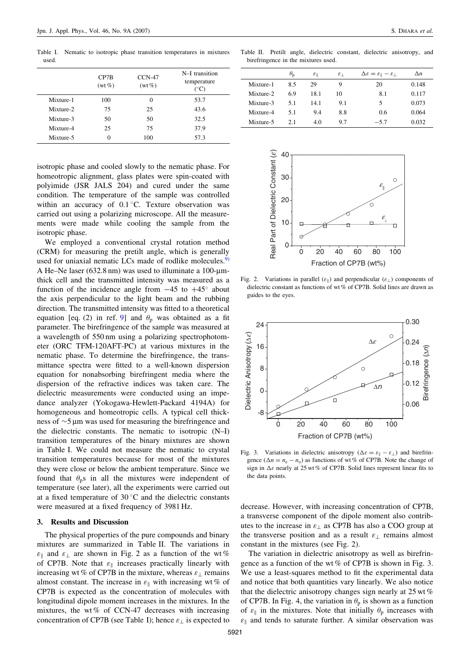Table I. Nematic to isotropic phase transition temperatures in mixtures used

|           | CP7B<br>$(wt\%)$ | $CCN-47$<br>$(wt\%)$ | N-I transition<br>temperature<br>$(^\circ C)$ |
|-----------|------------------|----------------------|-----------------------------------------------|
| Mixture-1 | 100              | $\Omega$             | 53.7                                          |
| Mixture-2 | 75               | 25                   | 43.6                                          |
| Mixture-3 | 50               | 50                   | 32.5                                          |
| Mixture-4 | 25               | 75                   | 37.9                                          |
| Mixture-5 | 0                | 100                  | 57.3                                          |

isotropic phase and cooled slowly to the nematic phase. For homeotropic alignment, glass plates were spin-coated with polyimide (JSR JALS 204) and cured under the same condition. The temperature of the sample was controlled within an accuracy of  $0.1\degree$ C. Texture observation was carried out using a polarizing microscope. All the measurements were made while cooling the sample from the isotropic phase.

We employed a conventional crystal rotation method (CRM) for measuring the pretilt angle, which is generally used for uniaxial nematic LCs made of rodlike molecules. $9$ A He–Ne laser (632.8 nm) was used to illuminate a 100-µmthick cell and the transmitted intensity was measured as a function of the incidence angle from  $-45$  to  $+45^{\circ}$  about the axis perpendicular to the light beam and the rubbing direction. The transmitted intensity was fitted to a theoretical equation [eq. (2) in ref. [9\]](#page-3-0) and  $\theta_p$  was obtained as a fit parameter. The birefringence of the sample was measured at a wavelength of 550 nm using a polarizing spectrophotometer (ORC TFM-120AFT-PC) at various mixtures in the nematic phase. To determine the birefringence, the transmittance spectra were fitted to a well-known dispersion equation for nonabsorbing birefringent media where the dispersion of the refractive indices was taken care. The dielectric measurements were conducted using an impedance analyzer (Yokogawa-Hewlett-Packard 4194A) for homogeneous and homeotropic cells. A typical cell thickness of  $\sim$ 5 µm was used for measuring the birefringence and the dielectric constants. The nematic to isotropic (N–I) transition temperatures of the binary mixtures are shown in Table I. We could not measure the nematic to crystal transition temperatures because for most of the mixtures they were close or below the ambient temperature. Since we found that  $\theta_p$ s in all the mixtures were independent of temperature (see later), all the experiments were carried out at a fixed temperature of  $30^{\circ}$ C and the dielectric constants were measured at a fixed frequency of 3981 Hz.

## 3. Results and Discussion

The physical properties of the pure compounds and binary mixtures are summarized in Table II. The variations in  $\varepsilon_{\parallel}$  and  $\varepsilon_{\perp}$  are shown in Fig. 2 as a function of the wt % of CP7B. Note that  $\varepsilon_{\parallel}$  increases practically linearly with increasing wt% of CP7B in the mixture, whereas  $\varepsilon_{\perp}$  remains almost constant. The increase in  $\varepsilon_{\parallel}$  with increasing wt % of CP7B is expected as the concentration of molecules with longitudinal dipole moment increases in the mixtures. In the mixtures, the wt % of CCN-47 decreases with increasing concentration of CP7B (see Table I); hence  $\varepsilon_{\perp}$  is expected to

Table II. Pretilt angle, dielectric constant, dielectric anisotropy, and birefringence in the mixtures used.

|           | $\theta_{p}$ | $\varepsilon_{\parallel}$ | $\varepsilon_{\perp}$ | $\Delta \varepsilon = \varepsilon_{\parallel} - \varepsilon_{\perp}$ | $\Delta n$ |
|-----------|--------------|---------------------------|-----------------------|----------------------------------------------------------------------|------------|
| Mixture-1 | 8.5          | 29                        |                       | 20                                                                   | 0.148      |
| Mixture-2 | 69           | 18.1                      | 10                    | 8.1                                                                  | 0.117      |
| Mixture-3 | 5.1          | 14.1                      | 9.1                   | 5                                                                    | 0.073      |
| Mixture-4 | 5.1          | 9.4                       | 8.8                   | 0.6                                                                  | 0.064      |
| Mixture-5 | 21           | 4.0                       | 9.7                   | $-5.7$                                                               | 0.032      |



Fig. 2. Variations in parallel  $(\varepsilon_{\parallel})$  and perpendicular  $(\varepsilon_{\perp})$  components of dielectric constant as functions of wt % of CP7B. Solid lines are drawn as guides to the eyes.



Fig. 3. Variations in dielectric anisotropy ( $\Delta \varepsilon = \varepsilon_{\parallel} - \varepsilon_{\perp}$ ) and birefringence ( $\Delta n = n_e - n_o$ ) as functions of wt% of CP7B. Note the change of sign in  $\Delta \varepsilon$  nearly at 25 wt % of CP7B. Solid lines represent linear fits to the data points.

decrease. However, with increasing concentration of CP7B, a transverse component of the dipole moment also contributes to the increase in  $\varepsilon_{\perp}$  as CP7B has also a COO group at the transverse position and as a result  $\varepsilon_{\perp}$  remains almost constant in the mixtures (see Fig. 2).

The variation in dielectric anisotropy as well as birefringence as a function of the wt  $%$  of CP7B is shown in Fig. 3. We use a least-squares method to fit the experimental data and notice that both quantities vary linearly. We also notice that the dielectric anisotropy changes sign nearly at  $25 \text{ wt } \%$ of CP7B. In Fig. 4, the variation in  $\theta_p$  is shown as a function of  $\varepsilon_{\parallel}$  in the mixtures. Note that initially  $\theta_{p}$  increases with  $\varepsilon_{\parallel}$  and tends to saturate further. A similar observation was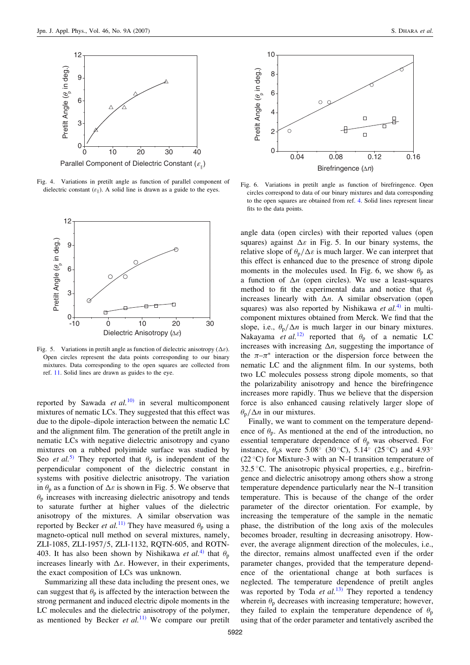

Fig. 4. Variations in pretilt angle as function of parallel component of dielectric constant  $(\varepsilon_{\parallel})$ . A solid line is drawn as a guide to the eyes.



Fig. 5. Variations in pretilt angle as function of dielectric anisotropy ( $\Delta \varepsilon$ ). Open circles represent the data points corresponding to our binary mixtures. Data corresponding to the open squares are collected from ref. [11](#page-3-0). Solid lines are drawn as guides to the eye.

reported by Sawada *et al.*<sup>[10\)](#page-3-0)</sup> in several multicomponent mixtures of nematic LCs. They suggested that this effect was due to the dipole–dipole interaction between the nematic LC and the alignment film. The generation of the pretilt angle in nematic LCs with negative dielectric anisotropy and cyano mixtures on a rubbed polyimide surface was studied by Seo *et al.*<sup>[5\)](#page-3-0)</sup> They reported that  $\theta_p$  is independent of the perpendicular component of the dielectric constant in systems with positive dielectric anisotropy. The variation in  $\theta_p$  as a function of  $\Delta \varepsilon$  is shown in Fig. 5. We observe that  $\theta_p$  increases with increasing dielectric anisotropy and tends to saturate further at higher values of the dielectric anisotropy of the mixtures. A similar observation was reported by Becker *et al.*<sup>[11\)](#page-3-0)</sup> They have measured  $\theta_p$  using a magneto-optical null method on several mixtures, namely, ZLI-1085, ZLI-1957/5, ZLI-1132, RQTN-605, and ROTN-403. It has also been shown by Nishikawa *et al.*<sup>[4\)](#page-3-0)</sup> that  $\theta_n$ increases linearly with  $\Delta \varepsilon$ . However, in their experiments, the exact composition of LCs was unknown.

Summarizing all these data including the present ones, we can suggest that  $\theta_n$  is affected by the interaction between the strong permanent and induced electric dipole moments in the LC molecules and the dielectric anisotropy of the polymer, as mentioned by Becker et  $al$ <sup>[11\)](#page-3-0)</sup> We compare our pretilt



Fig. 6. Variations in pretilt angle as function of birefringence. Open circles correspond to data of our binary mixtures and data corresponding to the open squares are obtained from ref. [4.](#page-3-0) Solid lines represent linear fits to the data points.

angle data (open circles) with their reported values (open squares) against  $\Delta \varepsilon$  in Fig. 5. In our binary systems, the relative slope of  $\theta_{p}/\Delta \varepsilon$  is much larger. We can interpret that this effect is enhanced due to the presence of strong dipole moments in the molecules used. In Fig. 6, we show  $\theta_p$  as a function of  $\Delta n$  (open circles). We use a least-squares method to fit the experimental data and notice that  $\theta_p$ increases linearly with  $\Delta n$ . A similar observation (open squares) was also reported by Nishikawa *et al.*<sup>[4\)](#page-3-0)</sup> in multicomponent mixtures obtained from Merck. We find that the slope, i.e.,  $\theta_p/\Delta n$  is much larger in our binary mixtures. Nakayama et al.<sup>[12\)](#page-3-0)</sup> reported that  $\theta_p$  of a nematic LC increases with increasing  $\Delta n$ , suggesting the importance of the  $\pi-\pi^*$  interaction or the dispersion force between the nematic LC and the alignment film. In our systems, both two LC molecules possess strong dipole moments, so that the polarizability anisotropy and hence the birefringence increases more rapidly. Thus we believe that the dispersion force is also enhanced causing relatively larger slope of  $\theta_{p}/\Delta n$  in our mixtures.

Finally, we want to comment on the temperature dependence of  $\theta_p$ . As mentioned at the end of the introduction, no essential temperature dependence of  $\theta_p$  was observed. For instance,  $\theta_p$ s were 5.08° (30°C), 5.14° (25°C) and 4.93°  $(22 °C)$  for Mixture-3 with an N-I transition temperature of 32.5 °C. The anisotropic physical properties, e.g., birefringence and dielectric anisotropy among others show a strong temperature dependence particularly near the N–I transition temperature. This is because of the change of the order parameter of the director orientation. For example, by increasing the temperature of the sample in the nematic phase, the distribution of the long axis of the molecules becomes broader, resulting in decreasing anisotropy. However, the average alignment direction of the molecules, i.e., the director, remains almost unaffected even if the order parameter changes, provided that the temperature dependence of the orientational change at both surfaces is neglected. The temperature dependence of pretilt angles was reported by Toda *et al.*<sup>[13\)](#page-3-0)</sup> They reported a tendency wherein  $\theta_p$  decreases with increasing temperature; however, they failed to explain the temperature dependence of  $\theta_n$ using that of the order parameter and tentatively ascribed the